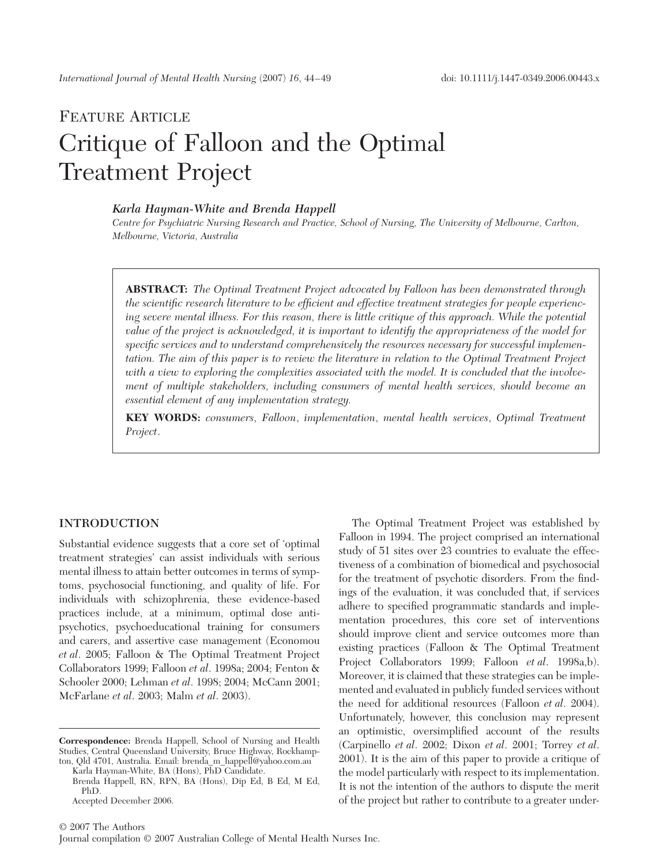# FEATURE ARTICLE Critique of Falloon and the Optimal Treatment Project

#### *Karla Hayman-White and Brenda Happell*

*Centre for Psychiatric Nursing Research and Practice, School of Nursing, The University of Melbourne, Carlton, Melbourne, Victoria, Australia*

**ABSTRACT:** *The Optimal Treatment Project advocated by Falloon has been demonstrated through the scientific research literature to be efficient and effective treatment strategies for people experiencing severe mental illness. For this reason, there is little critique of this approach. While the potential value of the project is acknowledged, it is important to identify the appropriateness of the model for specific services and to understand comprehensively the resources necessary for successful implementation. The aim of this paper is to review the literature in relation to the Optimal Treatment Project with a view to exploring the complexities associated with the model. It is concluded that the involvement of multiple stakeholders, including consumers of mental health services, should become an essential element of any implementation strategy.*

**KEY WORDS:** *consumers*, *Falloon*, *implementation*, *mental health services*, *Optimal Treatment Project*.

## **INTRODUCTION**

Substantial evidence suggests that a core set of 'optimal treatment strategies' can assist individuals with serious mental illness to attain better outcomes in terms of symptoms, psychosocial functioning, and quality of life. For individuals with schizophrenia, these evidence-based practices include, at a minimum, optimal dose antipsychotics, psychoeducational training for consumers and carers, and assertive case management (Economou *et al*. 2005; Falloon & The Optimal Treatment Project Collaborators 1999; Falloon *et al*. 1998a; 2004; Fenton & Schooler 2000; Lehman *et al*. 1998; 2004; McCann 2001; McFarlane *et al*. 2003; Malm *et al*. 2003).

**Correspondence:** Brenda Happell, School of Nursing and Health Studies, Central Queensland University, Bruce Highway, Rockhampton, Qld 4701, Australia. Email: brenda\_m\_happell@yahoo.com.au

Karla Hayman-White, BA (Hons), PhD Candidate.

Brenda Happell, RN, RPN, BA (Hons), Dip Ed, B Ed, M Ed, PhD. Accepted December 2006.

The Optimal Treatment Project was established by Falloon in 1994. The project comprised an international study of 51 sites over 23 countries to evaluate the effectiveness of a combination of biomedical and psychosocial for the treatment of psychotic disorders. From the findings of the evaluation, it was concluded that, if services adhere to specified programmatic standards and implementation procedures, this core set of interventions should improve client and service outcomes more than existing practices (Falloon & The Optimal Treatment Project Collaborators 1999; Falloon *et al*. 1998a,b). Moreover, it is claimed that these strategies can be implemented and evaluated in publicly funded services without the need for additional resources (Falloon *et al*. 2004). Unfortunately, however, this conclusion may represent an optimistic, oversimplified account of the results (Carpinello *et al*. 2002; Dixon *et al*. 2001; Torrey *et al*. 2001). It is the aim of this paper to provide a critique of the model particularly with respect to its implementation. It is not the intention of the authors to dispute the merit of the project but rather to contribute to a greater under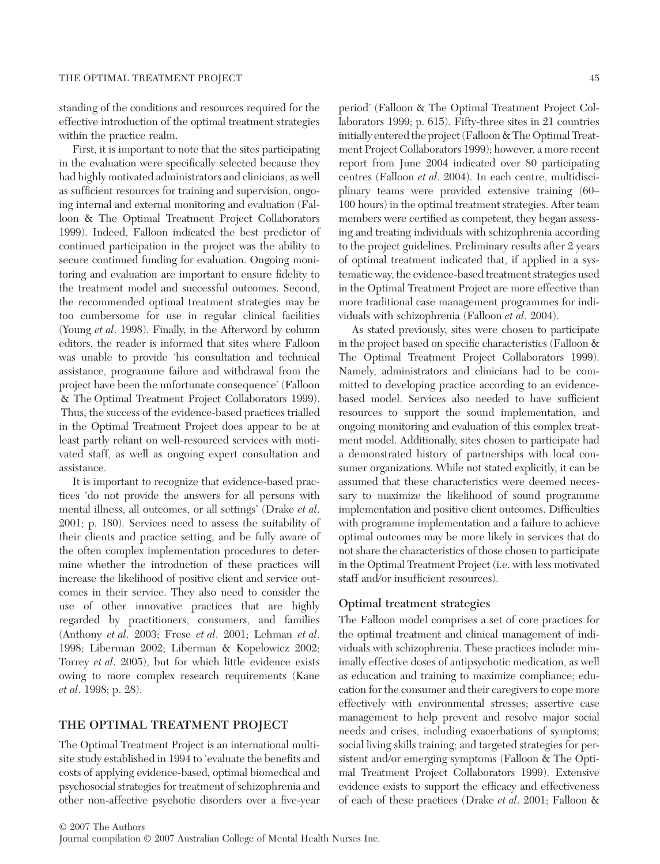standing of the conditions and resources required for the effective introduction of the optimal treatment strategies within the practice realm.

First, it is important to note that the sites participating in the evaluation were specifically selected because they had highly motivated administrators and clinicians, as well as sufficient resources for training and supervision, ongoing internal and external monitoring and evaluation (Falloon & The Optimal Treatment Project Collaborators 1999). Indeed, Falloon indicated the best predictor of continued participation in the project was the ability to secure continued funding for evaluation. Ongoing monitoring and evaluation are important to ensure fidelity to the treatment model and successful outcomes. Second, the recommended optimal treatment strategies may be too cumbersome for use in regular clinical facilities (Young *et al*. 1998). Finally, in the Afterword by column editors, the reader is informed that sites where Falloon was unable to provide 'his consultation and technical assistance, programme failure and withdrawal from the project have been the unfortunate consequence' (Falloon & The Optimal Treatment Project Collaborators 1999). Thus, the success of the evidence-based practices trialled in the Optimal Treatment Project does appear to be at least partly reliant on well-resourced services with motivated staff, as well as ongoing expert consultation and assistance.

It is important to recognize that evidence-based practices 'do not provide the answers for all persons with mental illness, all outcomes, or all settings' (Drake *et al*. 2001; p. 180). Services need to assess the suitability of their clients and practice setting, and be fully aware of the often complex implementation procedures to determine whether the introduction of these practices will increase the likelihood of positive client and service outcomes in their service. They also need to consider the use of other innovative practices that are highly regarded by practitioners, consumers, and families (Anthony *et al*. 2003; Frese *et al*. 2001; Lehman *et al*. 1998; Liberman 2002; Liberman & Kopelowicz 2002; Torrey *et al*. 2005), but for which little evidence exists owing to more complex research requirements (Kane *et al*. 1998; p. 28).

## **THE OPTIMAL TREATMENT PROJECT**

The Optimal Treatment Project is an international multisite study established in 1994 to 'evaluate the benefits and costs of applying evidence-based, optimal biomedical and psychosocial strategies for treatment of schizophrenia and other non-affective psychotic disorders over a five-year

period' (Falloon & The Optimal Treatment Project Collaborators 1999; p. 615). Fifty-three sites in 21 countries initially entered the project (Falloon & The Optimal Treatment Project Collaborators 1999); however, a more recent report from June 2004 indicated over 80 participating centres (Falloon *et al*. 2004). In each centre, multidisciplinary teams were provided extensive training (60– 100 hours) in the optimal treatment strategies. After team members were certified as competent, they began assessing and treating individuals with schizophrenia according to the project guidelines. Preliminary results after 2 years of optimal treatment indicated that, if applied in a systematic way, the evidence-based treatment strategies used in the Optimal Treatment Project are more effective than more traditional case management programmes for individuals with schizophrenia (Falloon *et al*. 2004).

As stated previously, sites were chosen to participate in the project based on specific characteristics (Falloon & The Optimal Treatment Project Collaborators 1999). Namely, administrators and clinicians had to be committed to developing practice according to an evidencebased model. Services also needed to have sufficient resources to support the sound implementation, and ongoing monitoring and evaluation of this complex treatment model. Additionally, sites chosen to participate had a demonstrated history of partnerships with local consumer organizations. While not stated explicitly, it can be assumed that these characteristics were deemed necessary to maximize the likelihood of sound programme implementation and positive client outcomes. Difficulties with programme implementation and a failure to achieve optimal outcomes may be more likely in services that do not share the characteristics of those chosen to participate in the Optimal Treatment Project (i.e. with less motivated staff and/or insufficient resources).

#### **Optimal treatment strategies**

The Falloon model comprises a set of core practices for the optimal treatment and clinical management of individuals with schizophrenia. These practices include: minimally effective doses of antipsychotic medication, as well as education and training to maximize compliance; education for the consumer and their caregivers to cope more effectively with environmental stresses; assertive case management to help prevent and resolve major social needs and crises, including exacerbations of symptoms; social living skills training; and targeted strategies for persistent and/or emerging symptoms (Falloon & The Optimal Treatment Project Collaborators 1999). Extensive evidence exists to support the efficacy and effectiveness of each of these practices (Drake *et al*. 2001; Falloon &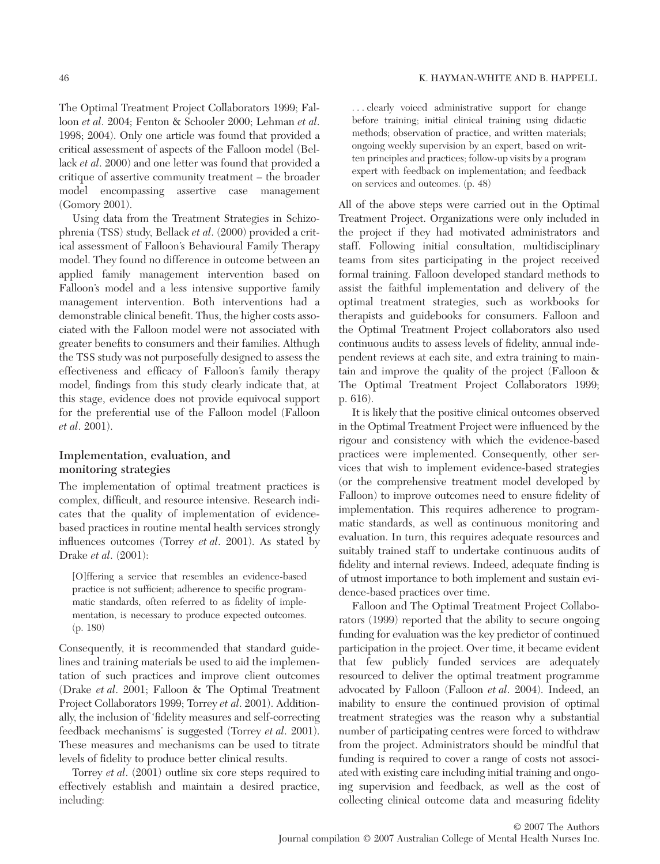The Optimal Treatment Project Collaborators 1999; Falloon *et al*. 2004; Fenton & Schooler 2000; Lehman *et al*. 1998; 2004). Only one article was found that provided a critical assessment of aspects of the Falloon model (Bellack *et al*. 2000) and one letter was found that provided a critique of assertive community treatment – the broader model encompassing assertive case management (Gomory 2001).

Using data from the Treatment Strategies in Schizophrenia (TSS) study, Bellack *et al*. (2000) provided a critical assessment of Falloon's Behavioural Family Therapy model. They found no difference in outcome between an applied family management intervention based on Falloon's model and a less intensive supportive family management intervention. Both interventions had a demonstrable clinical benefit. Thus, the higher costs associated with the Falloon model were not associated with greater benefits to consumers and their families. Althugh the TSS study was not purposefully designed to assess the effectiveness and efficacy of Falloon's family therapy model, findings from this study clearly indicate that, at this stage, evidence does not provide equivocal support for the preferential use of the Falloon model (Falloon *et al*. 2001).

## **Implementation, evaluation, and monitoring strategies**

The implementation of optimal treatment practices is complex, difficult, and resource intensive. Research indicates that the quality of implementation of evidencebased practices in routine mental health services strongly influences outcomes (Torrey *et al*. 2001). As stated by Drake *et al*. (2001):

[O]ffering a service that resembles an evidence-based practice is not sufficient; adherence to specific programmatic standards, often referred to as fidelity of implementation, is necessary to produce expected outcomes. (p. 180)

Consequently, it is recommended that standard guidelines and training materials be used to aid the implementation of such practices and improve client outcomes (Drake *et al*. 2001; Falloon & The Optimal Treatment Project Collaborators 1999; Torrey *et al*. 2001). Additionally, the inclusion of 'fidelity measures and self-correcting feedback mechanisms' is suggested (Torrey *et al*. 2001). These measures and mechanisms can be used to titrate levels of fidelity to produce better clinical results.

Torrey *et al*. (2001) outline six core steps required to effectively establish and maintain a desired practice, including:

. . . clearly voiced administrative support for change before training; initial clinical training using didactic methods; observation of practice, and written materials; ongoing weekly supervision by an expert, based on written principles and practices; follow-up visits by a program expert with feedback on implementation; and feedback on services and outcomes. (p. 48)

All of the above steps were carried out in the Optimal Treatment Project. Organizations were only included in the project if they had motivated administrators and staff. Following initial consultation, multidisciplinary teams from sites participating in the project received formal training. Falloon developed standard methods to assist the faithful implementation and delivery of the optimal treatment strategies, such as workbooks for therapists and guidebooks for consumers. Falloon and the Optimal Treatment Project collaborators also used continuous audits to assess levels of fidelity, annual independent reviews at each site, and extra training to maintain and improve the quality of the project (Falloon & The Optimal Treatment Project Collaborators 1999; p. 616).

It is likely that the positive clinical outcomes observed in the Optimal Treatment Project were influenced by the rigour and consistency with which the evidence-based practices were implemented. Consequently, other services that wish to implement evidence-based strategies (or the comprehensive treatment model developed by Falloon) to improve outcomes need to ensure fidelity of implementation. This requires adherence to programmatic standards, as well as continuous monitoring and evaluation. In turn, this requires adequate resources and suitably trained staff to undertake continuous audits of fidelity and internal reviews. Indeed, adequate finding is of utmost importance to both implement and sustain evidence-based practices over time.

Falloon and The Optimal Treatment Project Collaborators (1999) reported that the ability to secure ongoing funding for evaluation was the key predictor of continued participation in the project. Over time, it became evident that few publicly funded services are adequately resourced to deliver the optimal treatment programme advocated by Falloon (Falloon *et al*. 2004). Indeed, an inability to ensure the continued provision of optimal treatment strategies was the reason why a substantial number of participating centres were forced to withdraw from the project. Administrators should be mindful that funding is required to cover a range of costs not associated with existing care including initial training and ongoing supervision and feedback, as well as the cost of collecting clinical outcome data and measuring fidelity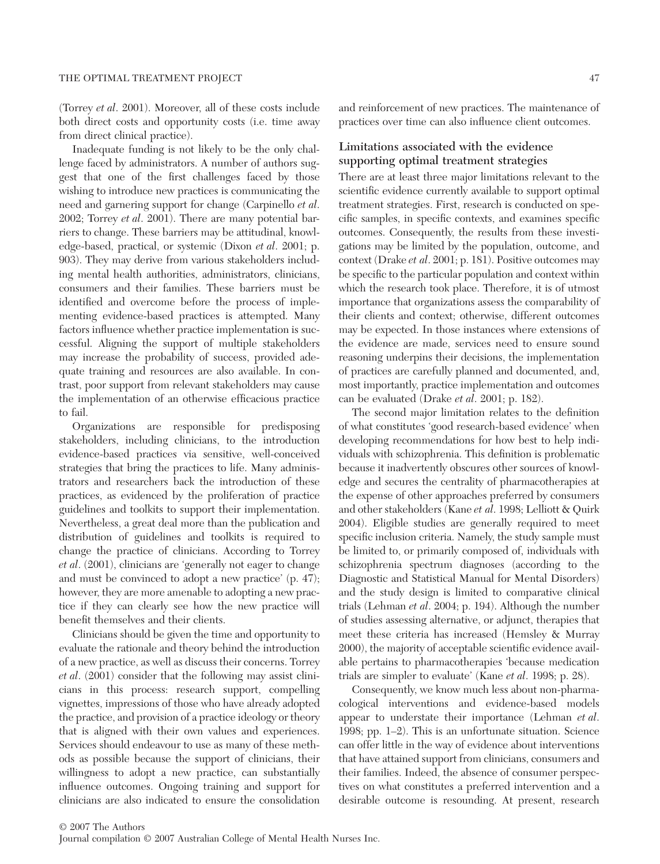(Torrey *et al*. 2001). Moreover, all of these costs include both direct costs and opportunity costs (i.e. time away from direct clinical practice).

Inadequate funding is not likely to be the only challenge faced by administrators. A number of authors suggest that one of the first challenges faced by those wishing to introduce new practices is communicating the need and garnering support for change (Carpinello *et al*. 2002; Torrey *et al*. 2001). There are many potential barriers to change. These barriers may be attitudinal, knowledge-based, practical, or systemic (Dixon *et al*. 2001; p. 903). They may derive from various stakeholders including mental health authorities, administrators, clinicians, consumers and their families. These barriers must be identified and overcome before the process of implementing evidence-based practices is attempted. Many factors influence whether practice implementation is successful. Aligning the support of multiple stakeholders may increase the probability of success, provided adequate training and resources are also available. In contrast, poor support from relevant stakeholders may cause the implementation of an otherwise efficacious practice to fail.

Organizations are responsible for predisposing stakeholders, including clinicians, to the introduction evidence-based practices via sensitive, well-conceived strategies that bring the practices to life. Many administrators and researchers back the introduction of these practices, as evidenced by the proliferation of practice guidelines and toolkits to support their implementation. Nevertheless, a great deal more than the publication and distribution of guidelines and toolkits is required to change the practice of clinicians. According to Torrey *et al*. (2001), clinicians are 'generally not eager to change and must be convinced to adopt a new practice' (p. 47); however, they are more amenable to adopting a new practice if they can clearly see how the new practice will benefit themselves and their clients.

Clinicians should be given the time and opportunity to evaluate the rationale and theory behind the introduction of a new practice, as well as discuss their concerns. Torrey *et al*. (2001) consider that the following may assist clinicians in this process: research support, compelling vignettes, impressions of those who have already adopted the practice, and provision of a practice ideology or theory that is aligned with their own values and experiences. Services should endeavour to use as many of these methods as possible because the support of clinicians, their willingness to adopt a new practice, can substantially influence outcomes. Ongoing training and support for clinicians are also indicated to ensure the consolidation

and reinforcement of new practices. The maintenance of practices over time can also influence client outcomes.

## **Limitations associated with the evidence supporting optimal treatment strategies**

There are at least three major limitations relevant to the scientific evidence currently available to support optimal treatment strategies. First, research is conducted on specific samples, in specific contexts, and examines specific outcomes. Consequently, the results from these investigations may be limited by the population, outcome, and context (Drake *et al*. 2001; p. 181). Positive outcomes may be specific to the particular population and context within which the research took place. Therefore, it is of utmost importance that organizations assess the comparability of their clients and context; otherwise, different outcomes may be expected. In those instances where extensions of the evidence are made, services need to ensure sound reasoning underpins their decisions, the implementation of practices are carefully planned and documented, and, most importantly, practice implementation and outcomes can be evaluated (Drake *et al*. 2001; p. 182).

The second major limitation relates to the definition of what constitutes 'good research-based evidence' when developing recommendations for how best to help individuals with schizophrenia. This definition is problematic because it inadvertently obscures other sources of knowledge and secures the centrality of pharmacotherapies at the expense of other approaches preferred by consumers and other stakeholders (Kane *et al*. 1998; Lelliott & Quirk 2004). Eligible studies are generally required to meet specific inclusion criteria. Namely, the study sample must be limited to, or primarily composed of, individuals with schizophrenia spectrum diagnoses (according to the Diagnostic and Statistical Manual for Mental Disorders) and the study design is limited to comparative clinical trials (Lehman *et al*. 2004; p. 194). Although the number of studies assessing alternative, or adjunct, therapies that meet these criteria has increased (Hemsley & Murray 2000), the majority of acceptable scientific evidence available pertains to pharmacotherapies 'because medication trials are simpler to evaluate' (Kane *et al*. 1998; p. 28).

Consequently, we know much less about non-pharmacological interventions and evidence-based models appear to understate their importance (Lehman *et al*. 1998; pp. 1–2). This is an unfortunate situation. Science can offer little in the way of evidence about interventions that have attained support from clinicians, consumers and their families. Indeed, the absence of consumer perspectives on what constitutes a preferred intervention and a desirable outcome is resounding. At present, research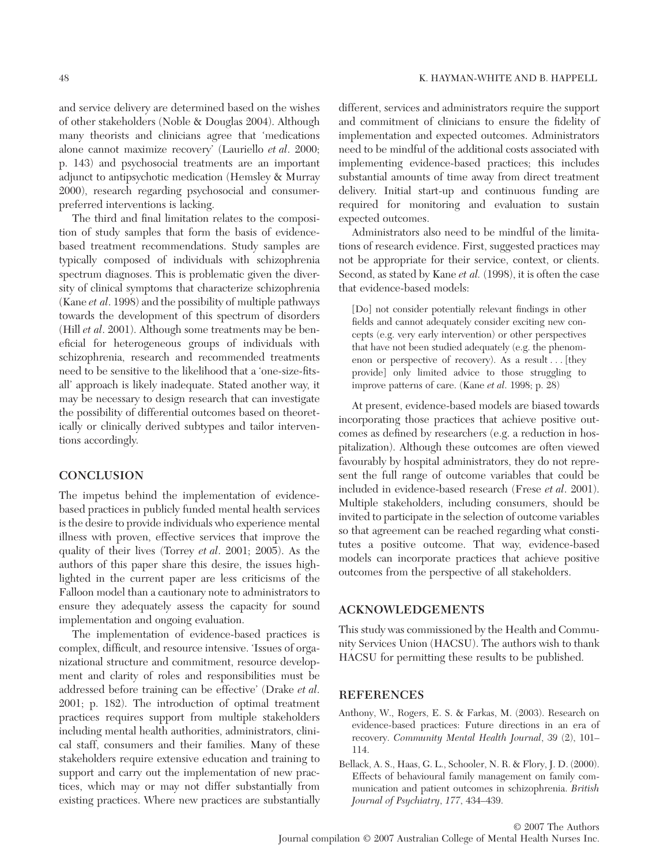and service delivery are determined based on the wishes of other stakeholders (Noble & Douglas 2004). Although many theorists and clinicians agree that 'medications alone cannot maximize recovery' (Lauriello *et al*. 2000; p. 143) and psychosocial treatments are an important adjunct to antipsychotic medication (Hemsley & Murray 2000), research regarding psychosocial and consumerpreferred interventions is lacking.

The third and final limitation relates to the composition of study samples that form the basis of evidencebased treatment recommendations. Study samples are typically composed of individuals with schizophrenia spectrum diagnoses. This is problematic given the diversity of clinical symptoms that characterize schizophrenia (Kane *et al*. 1998) and the possibility of multiple pathways towards the development of this spectrum of disorders (Hill *et al*. 2001). Although some treatments may be beneficial for heterogeneous groups of individuals with schizophrenia, research and recommended treatments need to be sensitive to the likelihood that a 'one-size-fitsall' approach is likely inadequate. Stated another way, it may be necessary to design research that can investigate the possibility of differential outcomes based on theoretically or clinically derived subtypes and tailor interventions accordingly.

## **CONCLUSION**

The impetus behind the implementation of evidencebased practices in publicly funded mental health services is the desire to provide individuals who experience mental illness with proven, effective services that improve the quality of their lives (Torrey *et al*. 2001; 2005). As the authors of this paper share this desire, the issues highlighted in the current paper are less criticisms of the Falloon model than a cautionary note to administrators to ensure they adequately assess the capacity for sound implementation and ongoing evaluation.

The implementation of evidence-based practices is complex, difficult, and resource intensive. 'Issues of organizational structure and commitment, resource development and clarity of roles and responsibilities must be addressed before training can be effective' (Drake *et al*. 2001; p. 182). The introduction of optimal treatment practices requires support from multiple stakeholders including mental health authorities, administrators, clinical staff, consumers and their families. Many of these stakeholders require extensive education and training to support and carry out the implementation of new practices, which may or may not differ substantially from existing practices. Where new practices are substantially different, services and administrators require the support and commitment of clinicians to ensure the fidelity of implementation and expected outcomes. Administrators need to be mindful of the additional costs associated with implementing evidence-based practices; this includes substantial amounts of time away from direct treatment delivery. Initial start-up and continuous funding are required for monitoring and evaluation to sustain expected outcomes.

Administrators also need to be mindful of the limitations of research evidence. First, suggested practices may not be appropriate for their service, context, or clients. Second, as stated by Kane *et al.* (1998), it is often the case that evidence-based models:

[Do] not consider potentially relevant findings in other fields and cannot adequately consider exciting new concepts (e.g. very early intervention) or other perspectives that have not been studied adequately (e.g. the phenomenon or perspective of recovery). As a result . . . [they provide] only limited advice to those struggling to improve patterns of care. (Kane *et al*. 1998; p. 28)

At present, evidence-based models are biased towards incorporating those practices that achieve positive outcomes as defined by researchers (e.g. a reduction in hospitalization). Although these outcomes are often viewed favourably by hospital administrators, they do not represent the full range of outcome variables that could be included in evidence-based research (Frese *et al*. 2001). Multiple stakeholders, including consumers, should be invited to participate in the selection of outcome variables so that agreement can be reached regarding what constitutes a positive outcome. That way, evidence-based models can incorporate practices that achieve positive outcomes from the perspective of all stakeholders.

#### **ACKNOWLEDGEMENTS**

This study was commissioned by the Health and Community Services Union (HACSU). The authors wish to thank HACSU for permitting these results to be published.

#### **REFERENCES**

- Anthony, W., Rogers, E. S. & Farkas, M. (2003). Research on evidence-based practices: Future directions in an era of recovery. *Community Mental Health Journal*, *39* (2), 101– 114.
- Bellack, A. S., Haas, G. L., Schooler, N. R. & Flory, J. D. (2000). Effects of behavioural family management on family communication and patient outcomes in schizophrenia. *British Journal of Psychiatry*, *177*, 434–439.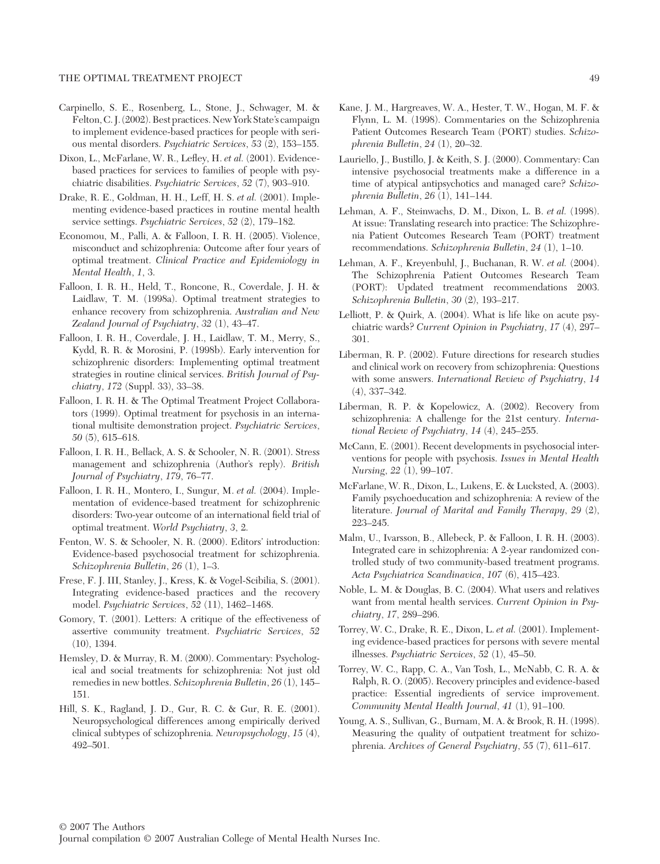- Carpinello, S. E., Rosenberg, L., Stone, J., Schwager, M. & Felton, C. J. (2002). Best practices. New York State's campaign to implement evidence-based practices for people with serious mental disorders. *Psychiatric Services*, *53* (2), 153–155.
- Dixon, L., McFarlane, W. R., Lefley, H. *et al.* (2001). Evidencebased practices for services to families of people with psychiatric disabilities. *Psychiatric Services*, *52* (7), 903–910.
- Drake, R. E., Goldman, H. H., Leff, H. S. *et al.* (2001). Implementing evidence-based practices in routine mental health service settings. *Psychiatric Services*, *52* (2), 179–182.
- Economou, M., Palli, A. & Falloon, I. R. H. (2005). Violence, misconduct and schizophrenia: Outcome after four years of optimal treatment. *Clinical Practice and Epidemiology in Mental Health*, *1*, 3.
- Falloon, I. R. H., Held, T., Roncone, R., Coverdale, J. H. & Laidlaw, T. M. (1998a). Optimal treatment strategies to enhance recovery from schizophrenia. *Australian and New Zealand Journal of Psychiatry*, *32* (1), 43–47.
- Falloon, I. R. H., Coverdale, J. H., Laidlaw, T. M., Merry, S., Kydd, R. R. & Morosini, P. (1998b). Early intervention for schizophrenic disorders: Implementing optimal treatment strategies in routine clinical services. *British Journal of Psychiatry*, *172* (Suppl. 33), 33–38.
- Falloon, I. R. H. & The Optimal Treatment Project Collaborators (1999). Optimal treatment for psychosis in an international multisite demonstration project. *Psychiatric Services*, *50* (5), 615–618.
- Falloon, I. R. H., Bellack, A. S. & Schooler, N. R. (2001). Stress management and schizophrenia (Author's reply). *British Journal of Psychiatry*, *179*, 76–77.
- Falloon, I. R. H., Montero, I., Sungur, M. *et al.* (2004). Implementation of evidence-based treatment for schizophrenic disorders: Two-year outcome of an international field trial of optimal treatment. *World Psychiatry*, *3*, 2.
- Fenton, W. S. & Schooler, N. R. (2000). Editors' introduction: Evidence-based psychosocial treatment for schizophrenia. *Schizophrenia Bulletin*, *26* (1), 1–3.
- Frese, F. J. III, Stanley, J., Kress, K. & Vogel-Scibilia, S. (2001). Integrating evidence-based practices and the recovery model. *Psychiatric Services*, *52* (11), 1462–1468.
- Gomory, T. (2001). Letters: A critique of the effectiveness of assertive community treatment. *Psychiatric Services*, *52* (10), 1394.
- Hemsley, D. & Murray, R. M. (2000). Commentary: Psychological and social treatments for schizophrenia: Not just old remedies in new bottles. *Schizophrenia Bulletin*, *26* (1), 145– 151.
- Hill, S. K., Ragland, J. D., Gur, R. C. & Gur, R. E. (2001). Neuropsychological differences among empirically derived clinical subtypes of schizophrenia. *Neuropsychology*, *15* (4), 492–501.
- Kane, J. M., Hargreaves, W. A., Hester, T. W., Hogan, M. F. & Flynn, L. M. (1998). Commentaries on the Schizophrenia Patient Outcomes Research Team (PORT) studies. *Schizophrenia Bulletin*, *24* (1), 20–32.
- Lauriello, J., Bustillo, J. & Keith, S. J. (2000). Commentary: Can intensive psychosocial treatments make a difference in a time of atypical antipsychotics and managed care? *Schizophrenia Bulletin*, *26* (1), 141–144.
- Lehman, A. F., Steinwachs, D. M., Dixon, L. B. *et al.* (1998). At issue: Translating research into practice: The Schizophrenia Patient Outcomes Research Team (PORT) treatment recommendations. *Schizophrenia Bulletin*, *24* (1), 1–10.
- Lehman, A. F., Kreyenbuhl, J., Buchanan, R. W. *et al.* (2004). The Schizophrenia Patient Outcomes Research Team (PORT): Updated treatment recommendations 2003. *Schizophrenia Bulletin*, *30* (2), 193–217.
- Lelliott, P. & Quirk, A. (2004). What is life like on acute psychiatric wards? *Current Opinion in Psychiatry*, *17* (4), 297– 301.
- Liberman, R. P. (2002). Future directions for research studies and clinical work on recovery from schizophrenia: Questions with some answers. *International Review of Psychiatry*, *14* (4), 337–342.
- Liberman, R. P. & Kopelowicz, A. (2002). Recovery from schizophrenia: A challenge for the 21st century. *International Review of Psychiatry*, *14* (4), 245–255.
- McCann, E. (2001). Recent developments in psychosocial interventions for people with psychosis. *Issues in Mental Health Nursing*, *22* (1), 99–107.
- McFarlane, W. R., Dixon, L., Lukens, E. & Lucksted, A. (2003). Family psychoeducation and schizophrenia: A review of the literature. *Journal of Marital and Family Therapy*, *29* (2), 223–245.
- Malm, U., Ivarsson, B., Allebeck, P. & Falloon, I. R. H. (2003). Integrated care in schizophrenia: A 2-year randomized controlled study of two community-based treatment programs. *Acta Psychiatrica Scandinavica*, *107* (6), 415–423.
- Noble, L. M. & Douglas, B. C. (2004). What users and relatives want from mental health services. *Current Opinion in Psychiatry*, *17*, 289–296.
- Torrey, W. C., Drake, R. E., Dixon, L. *et al.* (2001). Implementing evidence-based practices for persons with severe mental illnesses. *Psychiatric Services*, *52* (1), 45–50.
- Torrey, W. C., Rapp, C. A., Van Tosh, L., McNabb, C. R. A. & Ralph, R. O. (2005). Recovery principles and evidence-based practice: Essential ingredients of service improvement. *Community Mental Health Journal*, *41* (1), 91–100.
- Young, A. S., Sullivan, G., Burnam, M. A. & Brook, R. H. (1998). Measuring the quality of outpatient treatment for schizophrenia. *Archives of General Psychiatry*, *55* (7), 611–617.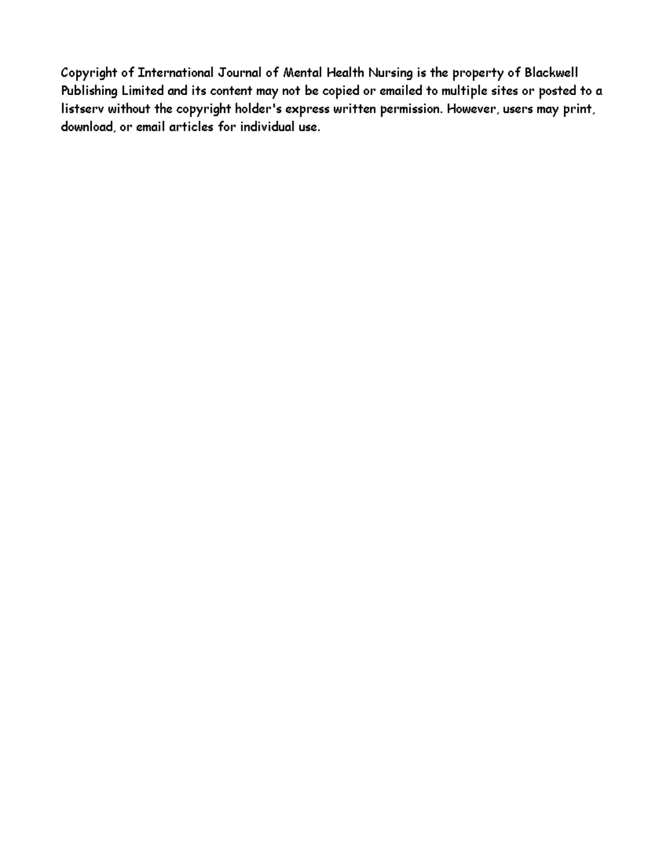Copyright of International Journal of Mental Health Nursing is the property of Blackwell Publishing Limited and its content may not be copied or emailed to multiple sites or posted to a listserv without the copyright holder's express written permission. However, users may print, download, or email articles for individual use.